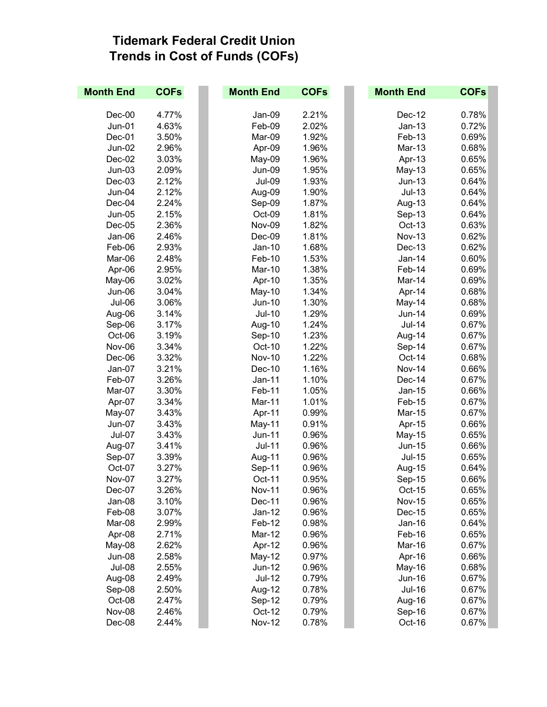## **Tidemark Federal Credit Union Trends in Cost of Funds (COFs)**

| <b>Month End</b> | <b>COFs</b> | <b>Month End</b> | <b>COFs</b> | <b>Month End</b> | <b>COFs</b> |
|------------------|-------------|------------------|-------------|------------------|-------------|
|                  |             |                  |             |                  |             |
| $Dec-00$         | 4.77%       | Jan-09           | 2.21%       | Dec-12           | 0.78%       |
| <b>Jun-01</b>    | 4.63%       | Feb-09           | 2.02%       | $Jan-13$         | 0.72%       |
| Dec-01           | 3.50%       | Mar-09           | 1.92%       | Feb-13           | 0.69%       |
| <b>Jun-02</b>    | 2.96%       | Apr-09           | 1.96%       | Mar-13           | 0.68%       |
| Dec-02           | 3.03%       | May-09           | 1.96%       | Apr-13           | 0.65%       |
| $Jun-03$         | 2.09%       | Jun-09           | 1.95%       | May-13           | 0.65%       |
| $Dec-03$         | 2.12%       | <b>Jul-09</b>    | 1.93%       | $Jun-13$         | 0.64%       |
| Jun-04           | 2.12%       | Aug-09           | 1.90%       | $Jul-13$         | 0.64%       |
| Dec-04           | 2.24%       | Sep-09           | 1.87%       | Aug-13           | 0.64%       |
| <b>Jun-05</b>    | 2.15%       | Oct-09           | 1.81%       | Sep-13           | 0.64%       |
| $Dec-05$         | 2.36%       | Nov-09           | 1.82%       | Oct-13           | 0.63%       |
| Jan-06           | 2.46%       | $Dec-09$         | 1.81%       | <b>Nov-13</b>    | 0.62%       |
| Feb-06           | 2.93%       | $Jan-10$         | 1.68%       | Dec-13           | 0.62%       |
| Mar-06           | 2.48%       | Feb-10           | 1.53%       | Jan-14           | 0.60%       |
| Apr-06           | 2.95%       | <b>Mar-10</b>    | 1.38%       | Feb-14           | 0.69%       |
| May-06           | 3.02%       | Apr-10           | 1.35%       | Mar-14           | 0.69%       |
| Jun-06           | 3.04%       | May-10           | 1.34%       | Apr-14           | 0.68%       |
| Jul-06           | 3.06%       | Jun-10           | 1.30%       | May-14           | 0.68%       |
| Aug-06           | 3.14%       | Jul-10           | 1.29%       | <b>Jun-14</b>    | 0.69%       |
| Sep-06           | 3.17%       | Aug-10           | 1.24%       | <b>Jul-14</b>    | 0.67%       |
| Oct-06           | 3.19%       | Sep-10           | 1.23%       | Aug-14           | 0.67%       |
| Nov-06           | 3.34%       | Oct-10           | 1.22%       | Sep-14           | 0.67%       |
| Dec-06           | 3.32%       | <b>Nov-10</b>    | 1.22%       | Oct-14           | 0.68%       |
| Jan-07           | 3.21%       | Dec-10           | 1.16%       | <b>Nov-14</b>    | 0.66%       |
| Feb-07           | 3.26%       | Jan-11           | 1.10%       | Dec-14           | 0.67%       |
| Mar-07           | 3.30%       | Feb-11           | 1.05%       | $Jan-15$         | 0.66%       |
| Apr-07           | 3.34%       | Mar-11           | 1.01%       | Feb-15           | 0.67%       |
| May-07           | 3.43%       | Apr-11           | 0.99%       | <b>Mar-15</b>    | 0.67%       |
| <b>Jun-07</b>    | 3.43%       | May-11           | 0.91%       | Apr-15           | 0.66%       |
| <b>Jul-07</b>    | 3.43%       | <b>Jun-11</b>    | 0.96%       | May-15           | 0.65%       |
| Aug-07           | 3.41%       | <b>Jul-11</b>    | 0.96%       | <b>Jun-15</b>    | 0.66%       |
| Sep-07           | 3.39%       | Aug-11           | 0.96%       | <b>Jul-15</b>    | 0.65%       |
| Oct-07           | 3.27%       | Sep-11           | 0.96%       | Aug-15           | 0.64%       |
| Nov-07           | 3.27%       | Oct-11           | 0.95%       | Sep-15           | 0.66%       |
| Dec-07           | 3.26%       | <b>Nov-11</b>    | 0.96%       | Oct-15           | 0.65%       |
| Jan-08           | 3.10%       | Dec-11           | 0.96%       | <b>Nov-15</b>    | 0.65%       |
| Feb-08           | 3.07%       | Jan-12           | 0.96%       | Dec-15           | 0.65%       |
| Mar-08           | 2.99%       | Feb-12           | 0.98%       | Jan-16           | 0.64%       |
| Apr-08           | 2.71%       | Mar-12           | 0.96%       | Feb-16           | 0.65%       |
| May-08           | 2.62%       | Apr-12           | 0.96%       | Mar-16           | 0.67%       |
| <b>Jun-08</b>    | 2.58%       | May-12           | 0.97%       | Apr-16           | 0.66%       |
| <b>Jul-08</b>    | 2.55%       | <b>Jun-12</b>    | 0.96%       | May-16           | 0.68%       |
| Aug-08           | 2.49%       | <b>Jul-12</b>    | 0.79%       | <b>Jun-16</b>    | 0.67%       |
| Sep-08           | 2.50%       | Aug-12           | 0.78%       | <b>Jul-16</b>    | 0.67%       |
| Oct-08           | 2.47%       | Sep-12           | 0.79%       | Aug-16           | 0.67%       |
| Nov-08           | 2.46%       | Oct-12           | 0.79%       | Sep-16           | 0.67%       |
| Dec-08           | 2.44%       | <b>Nov-12</b>    | 0.78%       | Oct-16           | 0.67%       |